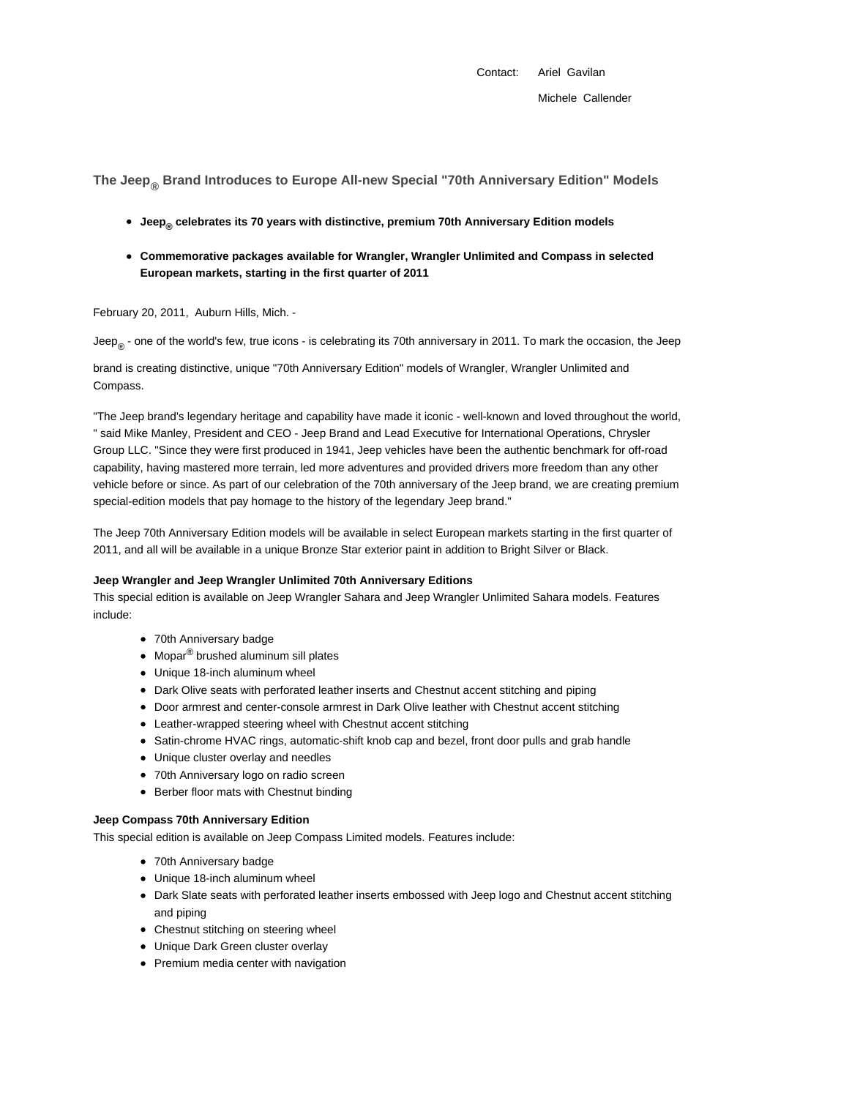**The Jeep® Brand Introduces to Europe All-new Special "70th Anniversary Edition" Models**

- **Jeep® celebrates its 70 years with distinctive, premium 70th Anniversary Edition models**
- **Commemorative packages available for Wrangler, Wrangler Unlimited and Compass in selected European markets, starting in the first quarter of 2011**

February 20, 2011, Auburn Hills, Mich. -

Jeep<sub>®</sub> - one of the world's few, true icons - is celebrating its 70th anniversary in 2011. To mark the occasion, the Jeep

brand is creating distinctive, unique "70th Anniversary Edition" models of Wrangler, Wrangler Unlimited and Compass.

"The Jeep brand's legendary heritage and capability have made it iconic - well-known and loved throughout the world, " said Mike Manley, President and CEO - Jeep Brand and Lead Executive for International Operations, Chrysler Group LLC. "Since they were first produced in 1941, Jeep vehicles have been the authentic benchmark for off-road capability, having mastered more terrain, led more adventures and provided drivers more freedom than any other vehicle before or since. As part of our celebration of the 70th anniversary of the Jeep brand, we are creating premium special-edition models that pay homage to the history of the legendary Jeep brand."

The Jeep 70th Anniversary Edition models will be available in select European markets starting in the first quarter of 2011, and all will be available in a unique Bronze Star exterior paint in addition to Bright Silver or Black.

## **Jeep Wrangler and Jeep Wrangler Unlimited 70th Anniversary Editions**

This special edition is available on Jeep Wrangler Sahara and Jeep Wrangler Unlimited Sahara models. Features include:

- 70th Anniversary badge
- Mopar<sup>®</sup> brushed aluminum sill plates
- Unique 18-inch aluminum wheel
- Dark Olive seats with perforated leather inserts and Chestnut accent stitching and piping
- Door armrest and center-console armrest in Dark Olive leather with Chestnut accent stitching
- Leather-wrapped steering wheel with Chestnut accent stitching
- Satin-chrome HVAC rings, automatic-shift knob cap and bezel, front door pulls and grab handle
- Unique cluster overlay and needles
- 70th Anniversary logo on radio screen
- Berber floor mats with Chestnut binding

## **Jeep Compass 70th Anniversary Edition**

This special edition is available on Jeep Compass Limited models. Features include:

- 70th Anniversary badge
- Unique 18-inch aluminum wheel
- Dark Slate seats with perforated leather inserts embossed with Jeep logo and Chestnut accent stitching and piping
- Chestnut stitching on steering wheel
- Unique Dark Green cluster overlay
- Premium media center with navigation